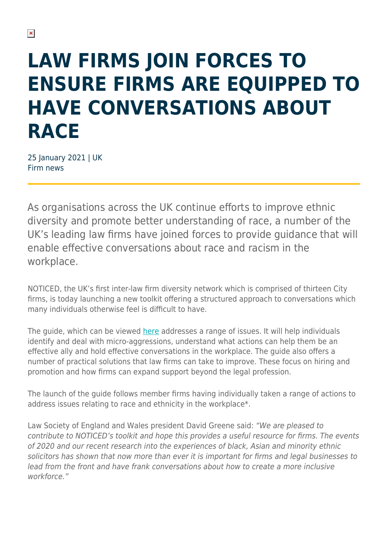# **LAW FIRMS JOIN FORCES TO ENSURE FIRMS ARE EQUIPPED TO HAVE CONVERSATIONS ABOUT RACE**

25 January 2021 | UK Firm news

As organisations across the UK continue efforts to improve ethnic diversity and promote better understanding of race, a number of the UK's leading law firms have joined forces to provide guidance that will enable effective conversations about race and racism in the workplace.

NOTICED, the UK's first inter-law firm diversity network which is comprised of thirteen City firms, is today launching a new toolkit offering a structured approach to conversations which many individuals otherwise feel is difficult to have.

The guide, which can be viewed [here](https://noticed.org.uk/wp-content/uploads/2021/05/NOTICED-Toolkit.pdf) addresses a range of issues. It will help individuals identify and deal with micro-aggressions, understand what actions can help them be an effective ally and hold effective conversations in the workplace. The guide also offers a number of practical solutions that law firms can take to improve. These focus on hiring and promotion and how firms can expand support beyond the legal profession.

The launch of the guide follows member firms having individually taken a range of actions to address issues relating to race and ethnicity in the workplace\*.

Law Society of England and Wales president David Greene said: "We are pleased to contribute to NOTICED's toolkit and hope this provides a useful resource for firms. The events of 2020 and our recent research into the experiences of black, Asian and minority ethnic solicitors has shown that now more than ever it is important for firms and legal businesses to lead from the front and have frank conversations about how to create a more inclusive workforce."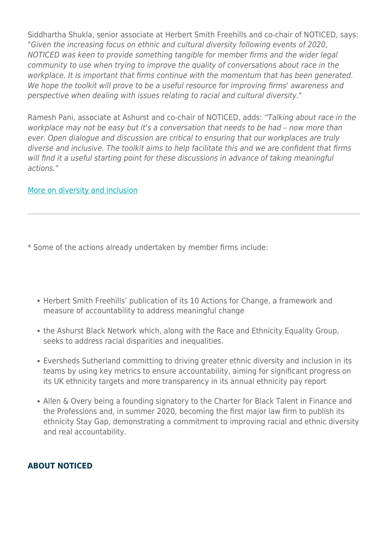Siddhartha Shukla, senior associate at Herbert Smith Freehills and co-chair of NOTICED, says: "Given the increasing focus on ethnic and cultural diversity following events of 2020, NOTICED was keen to provide something tangible for member firms and the wider legal community to use when trying to improve the quality of conversations about race in the workplace. It is important that firms continue with the momentum that has been generated. We hope the toolkit will prove to be a useful resource for improving firms' awareness and perspective when dealing with issues relating to racial and cultural diversity."

Ramesh Pani, associate at Ashurst and co-chair of NOTICED, adds: "Talking about race in the workplace may not be easy but it's a conversation that needs to be had – now more than ever. Open dialogue and discussion are critical to ensuring that our workplaces are truly diverse and inclusive. The toolkit aims to help facilitate this and we are confident that firms will find it a useful starting point for these discussions in advance of taking meaningful actions."

#### [More on diversity and inclusion](https://www.herbertsmithfreehills.com/diversity-and-inclusion)

\* Some of the actions already undertaken by member firms include:

- Herbert Smith Freehills' publication of its 10 Actions for Change, a framework and measure of accountability to address meaningful change
- the Ashurst Black Network which, along with the Race and Ethnicity Equality Group, seeks to address racial disparities and inequalities.
- Eversheds Sutherland committing to driving greater ethnic diversity and inclusion in its teams by using key metrics to ensure accountability, aiming for significant progress on its UK ethnicity targets and more transparency in its annual ethnicity pay report
- Allen & Overy being a founding signatory to the Charter for Black Talent in Finance and the Professions and, in summer 2020, becoming the first major law firm to publish its ethnicity Stay Gap, demonstrating a commitment to improving racial and ethnic diversity and real accountability.

#### **ABOUT NOTICED**